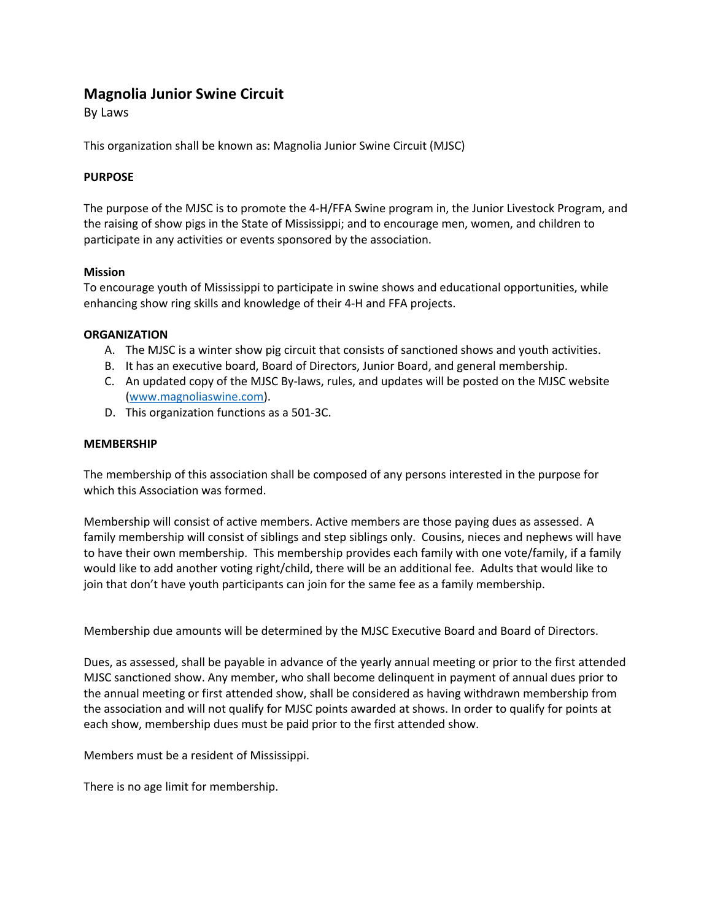# **Magnolia Junior Swine Circuit**

By Laws

This organization shall be known as: Magnolia Junior Swine Circuit (MJSC)

# **PURPOSE**

The purpose of the MJSC is to promote the 4-H/FFA Swine program in, the Junior Livestock Program, and the raising of show pigs in the State of Mississippi; and to encourage men, women, and children to participate in any activities or events sponsored by the association.

# **Mission**

To encourage youth of Mississippi to participate in swine shows and educational opportunities, while enhancing show ring skills and knowledge of their 4-H and FFA projects.

# **ORGANIZATION**

- A. The MJSC is a winter show pig circuit that consists of sanctioned shows and youth activities.
- B. It has an executive board, Board of Directors, Junior Board, and general membership.
- C. An updated copy of the MJSC By-laws, rules, and updates will be posted on the MJSC website (www.magnoliaswine.com).
- D. This organization functions as a 501-3C.

# **MEMBERSHIP**

The membership of this association shall be composed of any persons interested in the purpose for which this Association was formed.

Membership will consist of active members. Active members are those paying dues as assessed. A family membership will consist of siblings and step siblings only. Cousins, nieces and nephews will have to have their own membership. This membership provides each family with one vote/family, if a family would like to add another voting right/child, there will be an additional fee. Adults that would like to join that don't have youth participants can join for the same fee as a family membership.

Membership due amounts will be determined by the MJSC Executive Board and Board of Directors.

Dues, as assessed, shall be payable in advance of the yearly annual meeting or prior to the first attended MJSC sanctioned show. Any member, who shall become delinquent in payment of annual dues prior to the annual meeting or first attended show, shall be considered as having withdrawn membership from the association and will not qualify for MJSC points awarded at shows. In order to qualify for points at each show, membership dues must be paid prior to the first attended show.

Members must be a resident of Mississippi.

There is no age limit for membership.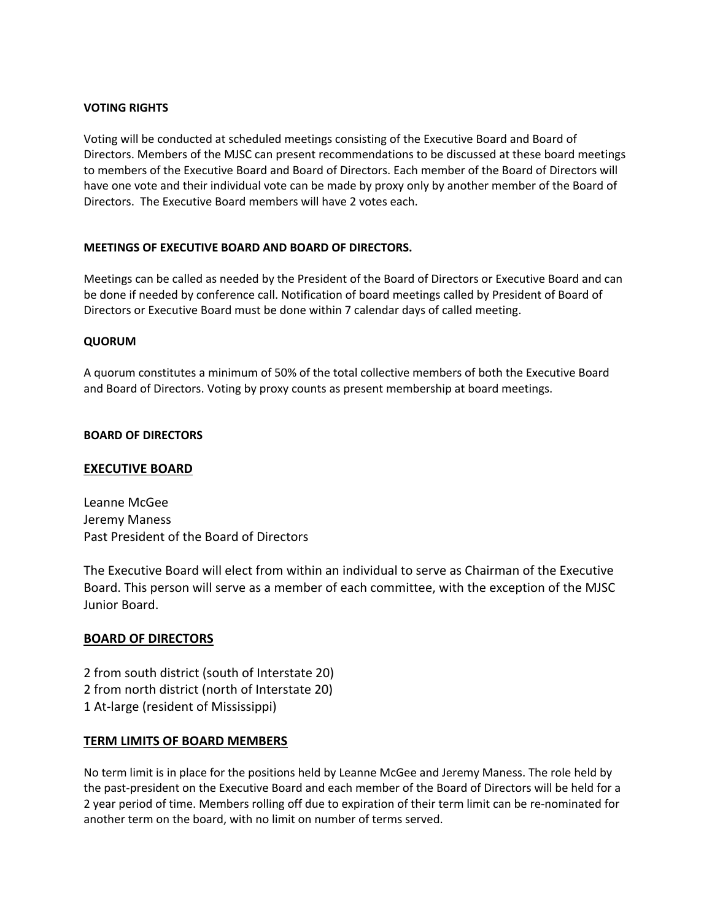# **VOTING RIGHTS**

Voting will be conducted at scheduled meetings consisting of the Executive Board and Board of Directors. Members of the MJSC can present recommendations to be discussed at these board meetings to members of the Executive Board and Board of Directors. Each member of the Board of Directors will have one vote and their individual vote can be made by proxy only by another member of the Board of Directors. The Executive Board members will have 2 votes each.

## **MEETINGS OF EXECUTIVE BOARD AND BOARD OF DIRECTORS.**

Meetings can be called as needed by the President of the Board of Directors or Executive Board and can be done if needed by conference call. Notification of board meetings called by President of Board of Directors or Executive Board must be done within 7 calendar days of called meeting.

## **QUORUM**

A quorum constitutes a minimum of 50% of the total collective members of both the Executive Board and Board of Directors. Voting by proxy counts as present membership at board meetings.

#### **BOARD OF DIRECTORS**

# **EXECUTIVE BOARD**

Leanne McGee Jeremy Maness Past President of the Board of Directors

The Executive Board will elect from within an individual to serve as Chairman of the Executive Board. This person will serve as a member of each committee, with the exception of the MJSC Junior Board.

# **BOARD OF DIRECTORS**

2 from south district (south of Interstate 20) 2 from north district (north of Interstate 20) 1 At-large (resident of Mississippi)

#### **TERM LIMITS OF BOARD MEMBERS**

No term limit is in place for the positions held by Leanne McGee and Jeremy Maness. The role held by the past-president on the Executive Board and each member of the Board of Directors will be held for a 2 year period of time. Members rolling off due to expiration of their term limit can be re-nominated for another term on the board, with no limit on number of terms served.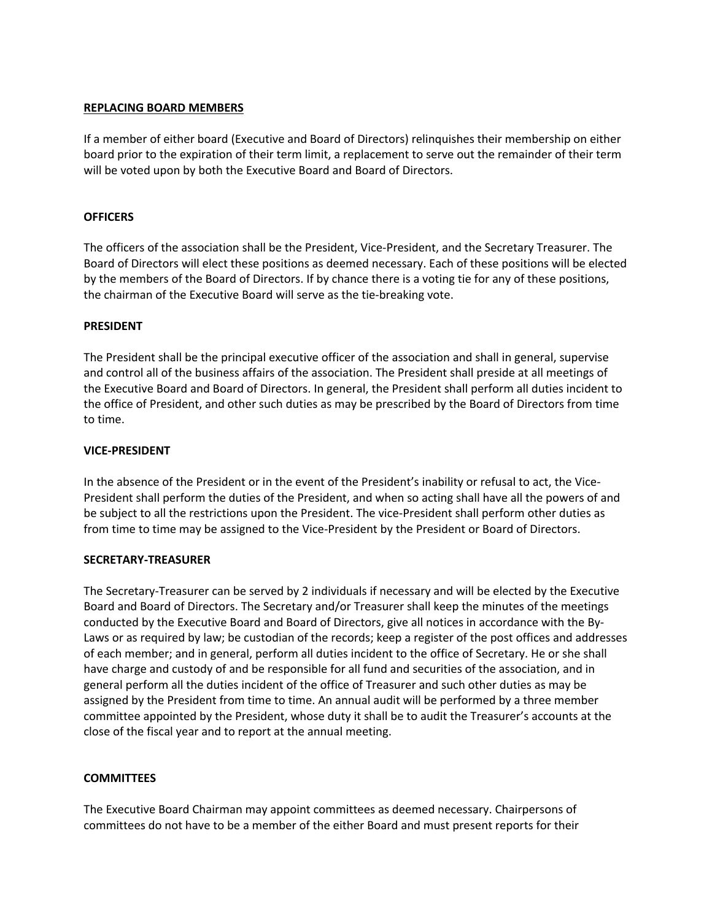## **REPLACING BOARD MEMBERS**

If a member of either board (Executive and Board of Directors) relinquishes their membership on either board prior to the expiration of their term limit, a replacement to serve out the remainder of their term will be voted upon by both the Executive Board and Board of Directors.

## **OFFICERS**

The officers of the association shall be the President, Vice-President, and the Secretary Treasurer. The Board of Directors will elect these positions as deemed necessary. Each of these positions will be elected by the members of the Board of Directors. If by chance there is a voting tie for any of these positions, the chairman of the Executive Board will serve as the tie-breaking vote.

## **PRESIDENT**

The President shall be the principal executive officer of the association and shall in general, supervise and control all of the business affairs of the association. The President shall preside at all meetings of the Executive Board and Board of Directors. In general, the President shall perform all duties incident to the office of President, and other such duties as may be prescribed by the Board of Directors from time to time.

## **VICE-PRESIDENT**

In the absence of the President or in the event of the President's inability or refusal to act, the Vice-President shall perform the duties of the President, and when so acting shall have all the powers of and be subject to all the restrictions upon the President. The vice-President shall perform other duties as from time to time may be assigned to the Vice-President by the President or Board of Directors.

#### **SECRETARY-TREASURER**

The Secretary-Treasurer can be served by 2 individuals if necessary and will be elected by the Executive Board and Board of Directors. The Secretary and/or Treasurer shall keep the minutes of the meetings conducted by the Executive Board and Board of Directors, give all notices in accordance with the By-Laws or as required by law; be custodian of the records; keep a register of the post offices and addresses of each member; and in general, perform all duties incident to the office of Secretary. He or she shall have charge and custody of and be responsible for all fund and securities of the association, and in general perform all the duties incident of the office of Treasurer and such other duties as may be assigned by the President from time to time. An annual audit will be performed by a three member committee appointed by the President, whose duty it shall be to audit the Treasurer's accounts at the close of the fiscal year and to report at the annual meeting.

#### **COMMITTEES**

The Executive Board Chairman may appoint committees as deemed necessary. Chairpersons of committees do not have to be a member of the either Board and must present reports for their